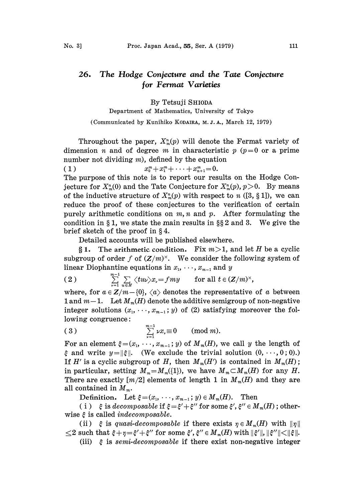## The Hodge Conjecture and the Tate Conjecture 26. or Fermat Varieties

## By Tetsuji SHIODA

Department of Mathematics, University of Tokyo

(Communicated by Kunihiko KODAIRA, M. J. A., March 12, 1979)

Throughout the paper,  $X_m^n(p)$  will denote the Fermat variety of dimension *n* and of degree *m* in characteristic  $p(p=0)$  or a prime number not dividing  $m$ ), defined by the equation ( 1 )  $x_0^m + x_1^m + \cdots + x_{n+1}^m = 0.$ The purpose of this note is to report our results on the Hodge Conjecture for  $X_{m}^{n}(0)$  and the Tate Conjecture for  $X_{m}^{n}(p)$ ,  $p>0$ . By means of the inductive structure of  $X_{\infty}^n(p)$  with respect to n ([3, § 1]), we can reduce the proof of these conjectures to the verification of certain purely arithmetic conditions on  $m, n$  and  $p$ . After formulating the

Detailed accounts will be published elsewhere.

brief sketch of the proof in  $\S 4$ .

§ 1. The arithmetic condition. Fix  $m>1$ , and let H be a cyclic subgroup of order f of  $(Z/m)^{\times}$ . We consider the following system of linear Diophantine equations in  $x_1, \dots, x_{m-1}$  and y

condition in  $\S 1$ , we state the main results in  $\S \S 2$  and 3. We give the

(2) 
$$
\sum_{\nu=1}^{m-1}\sum_{u\in H}\langle tu\nu\rangle x_{\nu}=fmy \quad \text{for all } t\in (Z/m)^{\times},
$$

where, for  $a \in \mathbb{Z}/m-\{0\}$ ,  $\langle a \rangle$  denotes the representative of a between 1 and  $m-1$ . Let  $M_m(H)$  denote the additive semigroup of non-negative integer solutions  $(x_1, \dots, x_{m-1};y)$  of (2) satisfying moreover the following congruence:

$$
\text{(3)} \quad \sum_{\nu=1}^{m-1} \nu x_{\nu} \equiv 0 \quad (\text{mod } m).
$$

For an element  $\xi = (x_1, \dots, x_{m-1}; y)$  of  $M_m(H)$ , we call y the length of  $\xi$  and write  $y=\|\xi\|$ . (We exclude the trivial solution  $(0,\dots,0;0)$ .) If H' is a cyclic subgroup of H, then  $M_m(H')$  is contained in  $M_m(H)$ ; in particular, setting  $M_m=M_m({1})$ , we have  $M_m\subset M_m(H)$  for any H. There are exactly  $[m/2]$  elements of length 1 in  $M_m(H)$  and they are all contained in  $M_m$ .

Definition. Let  $\xi = (x_1, \dots, x_{m-1}; y) \in M_m(H)$ . Then

(i)  $\xi$  is decomposable if  $\xi = \xi' + \xi'$  $\xi^{\prime\prime}$  for some  $\xi^{\prime}, \xi^{\prime\prime} \in M_m(H)$  ; otherwise  $\xi$  is called *indecomposable*.

(ii)  $\xi$  is quasi-decomposable if there exists  $\eta \in M_m(H)$  with  $\|\eta\|$  $\leq$ 2 such that  $\xi + \eta = \xi' + \xi''$  for some  $\xi', \xi'' \in M_m(H)$  with  $\|\xi'\|$ ,<br>(iii)  $\xi$  is *semi-decomposable* if there exist non-negati

(iii)  $\xi$  is semi-decomposable if there exist non-negative integer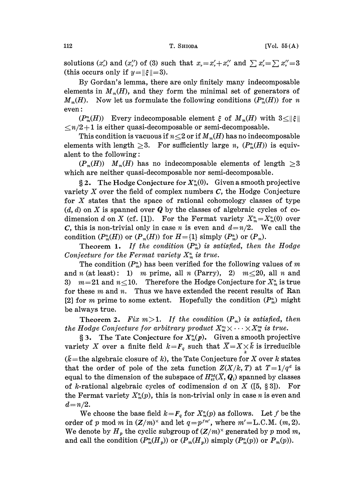solutions  $(x'_n)$  and  $(x''_n)$  of (3) such that  $x_n = x'_n + x''_n$  and  $\sum x'_n = \sum x''_n = 3$ (this occurs only if  $y = \frac{\xi}{-3}$ ).

By Gordan's lemma, there are only finitely many indecomposable elements in  $M_m(H)$ , and they form the minimal set of generators of  $M_m(H)$ . Now let us formulate the following conditions  $(P_m^n(H))$  for n even

 $(P_m^n(H))$  Every indecomposable element  $\xi$  of  $M_m(H)$  with  $3 \leq ||\xi||$  $\leq n/2+1$  is either quasi-decomposable or semi-decomposable.

This condition is vacuous if  $n \leq 2$  or if  $M_m(H)$  has no indecomposable elements with length  $\geq 3$ . For sufficiently large n,  $(P_m^n(H))$  is equivalent to the following:

 $(P_m(H))$   $M_m(H)$  has no indecomposable elements of length  $\geq 3$ which are neither quasi-decomposable nor semi-decomposable.

§ 2. The Hodge Conjecture for  $X_m^n(0)$ . Given a smooth projective variety  $X$  over the field of complex numbers  $C$ , the Hodge Conjecture for  $X$  states that the space of rational cohomology classes of type  $(d, d)$  on X is spanned over Q by the classes of algebraic cycles of codimension d on X (cf. [1]). For the Fermat variety  $X_{m}^{n}=X_{m}^{n}(0)$  over C, this is non-trivial only in case *n* is even and  $d=n/2$ . We call the condition  $(P_m^n(H))$  or  $(P_m(H))$  for  $H=\{1\}$  simply  $(P_m^n)$  or  $(P_m)$ .

Theorem 1. If the condition  $(P_m^n)$  is satisfied, then the Hodge Conjecture for the Fermat variety  $X_{m}^{n}$  is true.

The condition  $(P_m^n)$  has been verified for the following values of m and n (at least): 1) m prime, all n (Parry), 2)  $m \le 20$ , all n and 3)  $m=21$  and  $n\leq10$ . Therefore the Hodge Conjecture for  $X_m^n$  is true for these  $m$  and  $n$ . Thus we have extended the recent results of Ran [2] for *m* prime to some extent. Hopefully the condition  $(P_m^n)$  might be always true.

Theorem 2. Fix  $m>1$ . If the condition  $(P_m)$  is satisfied, then the Hodge Conjecture for arbitrary product  $X_{m}^{n_{1}} \times \cdots \times X_{m}^{n_{k}}$  is true.

§ 3. The Tate Conjecture for  $X_{\infty}^{n}(p)$ . Given a smooth projective variety X over a finite field  $k=F_q$  such that  $\overline{X}=X\times_k\overline{k}$  is irreducible  $(\bar{k}$ = the algebraic closure of k), the Tate Conjecture for X over k states that the order of pole of the zeta function  $Z(X/k, T)$  at  $T=1/q^d$  is equal to the dimension of the subspace of  $H^{2d}_{et}(\overline{X}, \overline{Q}_l)$  spanned by classes of k-rational algebraic cycles of codimension d on X ([5,  $\S 3$ ]). For the Fermat variety  $X_m^n(p)$ , this is non-trivial only in case *n* is even and  $d = n/2$ .

We choose the base field  $k=F_q$  for  $X_m^n(p)$  as follows. Let f be the order of p mod m in  $(Z/m)^{\times}$  and let  $q=p^{fm'}$ , where  $m'=L.C.M.$   $(m, 2)$ . We denote by  $H_p$  the cyclic subgroup of  $(Z/m)^\times$  generated by p mod m, and call the condition  $(P_m^n(H_p))$  or  $(P_m(H_p))$  simply  $(P_m^n(p))$  or  $P_m(p)$ ).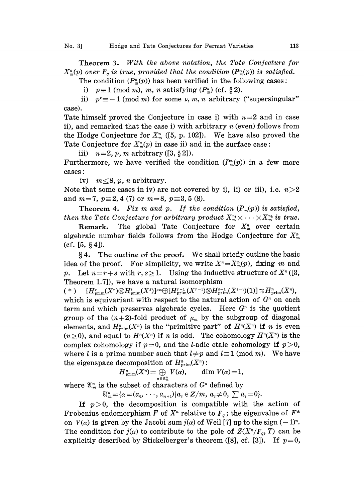Theorem 3. With the above notation, the Tate Conjecture for  $X_{m}^{n}(p)$  over  $F_{q}$  is true, provided that the condition  $(P_{m}^{n}(p))$  is satisfied.

The condition  $(P_m^n(p))$  has been verified in the following cases:

i)  $p\equiv 1 \pmod{m}$ , m, n satisfying  $(P_m^n)$  (cf. § 2).

ii)  $p^* \equiv -1 \pmod{m}$  for some  $\nu$ , m, n arbitrary ("supersingular" case).

Tate himself proved the Conjecture in case i) with  $n=2$  and in case ii), and remarked that the case i) with arbitrary  $n$  (even) follows from the Hodge Conjecture for  $X_{\infty}^{n}$  ([5, p. 102]). We have also proved the Tate Conjecture for  $X_m^n(p)$  in case ii) and in the surface case:

iii)  $n=2, p, m$  arbitrary ([3, § 2]).

Furthermore, we have verified the condition  $(P_m^n(p))$  in a few more cases:

iv)  $m \leq 8$ , p, n arbitrary.

Note that some cases in iv) are not covered by i), ii) or iii), i.e.  $n>2$ and  $m=7$ ,  $p=2, 4$  (7) or  $m=8$ ,  $p=3, 5$  (8).

**Theorem 4.** Fix m and p. If the condition  $(P_m(p))$  is satisfied, then the Tate Conjecture for arbitrary product  $X_{m}^{n_1} \times \cdots \times X_{m}^{n_k}$  is true.<br>Remark. The global Tate Conjecture for  $X_{m}^{n}$  over certain

The global Tate Conjecture for  $X_m^n$  over certain algebraic number fields follows from the Hodge Conjecture for  $X_m^n$ (cf.  $[5, §4]$ ).

4. The outline of the proof. We shall briefly outline the basic idea of the proof. For simplicity, we write  $X^n = X_m^n(p)$ , fixing m and p. Let  $n=r+s$  with  $r, s\geq 1$ . Using the inductive structure of  $X<sup>n</sup>$  ([3, Theorem 1.7]), we have a natural isomorphism

 $s^{(*)}$   $[H_{\text{prim}}^r(X^r) \otimes H_{\text{prim}}^s(X^s)]^{\mu_m} \oplus [H_{\text{prim}}^{r-1}(X^{r-1}) \otimes H_{\text{prim}}^{s-1}(X^{s-1})(1)] \simeq H_{\text{prim}}^n(X^n),$ which is equivariant with respect to the natural action of  $G<sup>n</sup>$  on each term and which preserves algebraic cycles. Here  $G<sup>n</sup>$  is the quotient group of the  $(n+2)$ -fold product of  $\mu_m$  by the subgroup of diagonal elements, and  $H^n_{\text{prim}}(X^n)$  is the "primitive part" of  $H^n(X^n)$  if n is even  $(n\geq 0)$ , and equal to  $H^n(X^n)$  if n is odd. The cohomology  $H^n(X^n)$  is the complex cohomology if  $p=0$ , and the *l*-adic etale cohomology if  $p>0$ , where *l* is a prime number such that  $l \neq p$  and  $l \equiv 1 \pmod{m}$ . We have the eigenspace decomposition of  $H^n_{\text{prim}}(X^n)$ :

$$
H^n_{\text{prim}}(X^n) = \bigoplus_{\alpha \in \mathfrak{A}_m^n} V(\alpha), \qquad \dim V(\alpha) = 1,
$$

where  $\mathfrak{A}_m^n$  is the subset of characters of  $G^n$  defined by

 $\mathfrak{A}_{m}^{n}=\{\alpha=(a_{0}, \cdots, a_{n+1})|a_{i}\in \mathbb{Z}/m, a_{i}\neq 0, \sum a_{i}=0\}.$ 

If  $p>0$ , the decomposition is compatible with the action of Frobenius endomorphism F of  $X<sup>n</sup>$  relative to  $F<sub>q</sub>$ ; the eigenvalue of  $F<sup>*</sup>$ on  $V(\alpha)$  is given by the Jacobi sum  $j(\alpha)$  of Weil [7] up to the sign  $(-1)^n$ . The condition for  $j(\alpha)$  to contribute to the pole of  $Z(X^n/F_{\alpha}, T)$  can be explicitly described by Stickelberger's theorem ([8], cf. [3]). If  $p=0$ ,